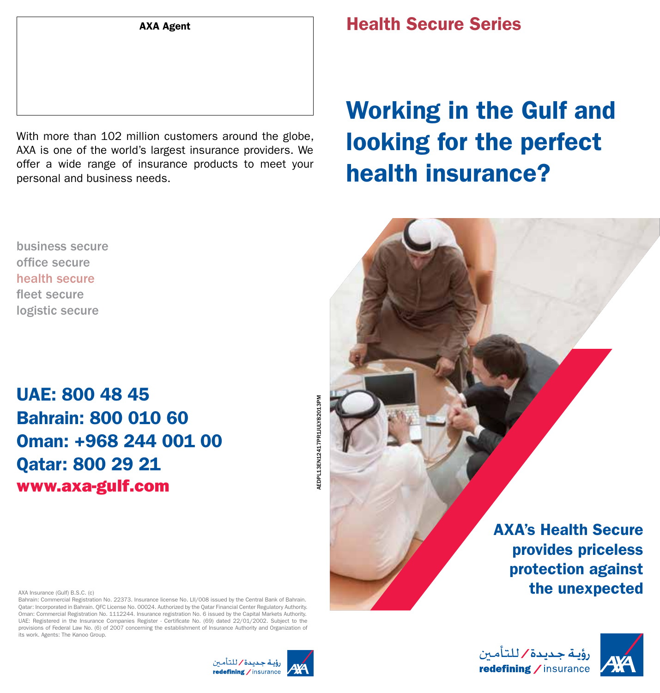With more than 102 million customers around the globe, AXA is one of the world's largest insurance providers. We offer a wide range of insurance products to meet your personal and business needs.

business secure office secure health secure fleet secure logistic secure

UAE: 800 48 45 Bahrain: 800 010 60 Oman: +968 244 001 00 Qatar: 800 29 21 www.axa-gulf.com

EDPL13EN12417PR1JULY82013PM AEDPL13EN12417PR1JULY82013PM

Qatar: Incorporated in Bahrain. QFC License No. 00024. Authorized by the Qatar Financial Center Regulatory Authority. Oman: Commercial Registration No. 1112244. Insurance registration No. 6 issued by the Capital Markets Authority. UAE: Registered in the Insurance Companies Register - Certificate No. (69) dated 22/01/2002. Subject to the provisions of Federal Law No. (6) of 2007 concerning the establishment of Insurance Authority and Organization of its work. Agents: The Kanoo Group.



# AXA Agent **Health Secure Series**

# Working in the Gulf and looking for the perfect health insurance?





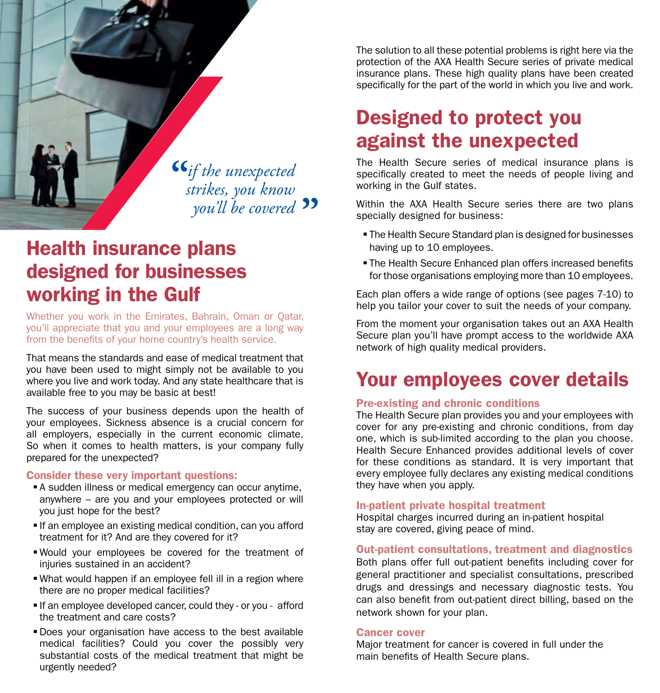

*strikes, you know you'll be covered*

# Health insurance plans designed for businesses working in the Gulf

Whether you work in the Emirates, Bahrain, Oman or Qatar, you'll appreciate that you and your employees are a long way from the benefits of your home country's health service.

That means the standards and ease of medical treatment that you have been used to might simply not be available to you where you live and work today. And any state healthcare that is available free to you may be basic at best!

The success of your business depends upon the health of your employees. Sickness absence is a crucial concern for all employers, especially in the current economic climate. So when it comes to health matters, is your company fully prepared for the unexpected?

#### Consider these very important questions:

- A sudden illness or medical emergency can occur anytime, anywhere – are you and your employees protected or will you just hope for the best?
- **If an employee an existing medical condition, can you afford** treatment for it? And are they covered for it?
- Would your employees be covered for the treatment of injuries sustained in an accident?
- What would happen if an employee fell ill in a region where there are no proper medical facilities?
- **If an employee developed cancer, could they or you afford** the treatment and care costs?
- Does your organisation have access to the best available medical facilities? Could you cover the possibly very substantial costs of the medical treatment that might be urgently needed?

The solution to all these potential problems is right here via the protection of the AXA Health Secure series of private medical insurance plans. These high quality plans have been created specifically for the part of the world in which you live and work.

# Designed to protect you against the unexpected

The Health Secure series of medical insurance plans is specifically created to meet the needs of people living and working in the Gulf states.

Within the AXA Health Secure series there are two plans specially designed for business:

- The Health Secure Standard plan is designed for businesses having up to 10 employees.
- The Health Secure Enhanced plan offers increased benefits for those organisations employing more than 10 employees.

Each plan offers a wide range of options (see pages 7-10) to help you tailor your cover to suit the needs of your company.

From the moment your organisation takes out an AXA Health Secure plan you'll have prompt access to the worldwide AXA network of high quality medical providers.

# Your employees cover details

#### Pre-existing and chronic conditions

The Health Secure plan provides you and your employees with cover for any pre-existing and chronic conditions, from day one, which is sub-limited according to the plan you choose. Health Secure Enhanced provides additional levels of cover for these conditions as standard. It is very important that every employee fully declares any existing medical conditions they have when you apply.

#### In-patient private hospital treatment

Hospital charges incurred during an in-patient hospital stay are covered, giving peace of mind.

#### Out-patient consultations, treatment and diagnostics

Both plans offer full out-patient benefits including cover for general practitioner and specialist consultations, prescribed drugs and dressings and necessary diagnostic tests. You can also benefit from out-patient direct billing, based on the network shown for your plan.

### Cancer cover

Major treatment for cancer is covered in full under the main benefits of Health Secure plans.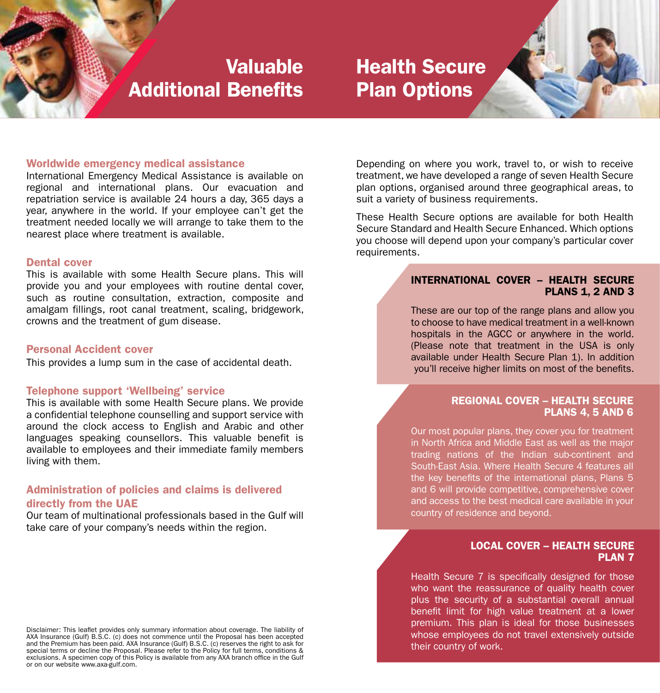# Valuable Additional Benefits

# Health Secure Plan Options



#### Worldwide emergency medical assistance

International Emergency Medical Assistance is available on regional and international plans. Our evacuation and repatriation service is available 24 hours a day, 365 days a year, anywhere in the world. If your employee can't get the treatment needed locally we will arrange to take them to the nearest place where treatment is available.

#### Dental cover

This is available with some Health Secure plans. This will provide you and your employees with routine dental cover, such as routine consultation, extraction, composite and amalgam fillings, root canal treatment, scaling, bridgework, crowns and the treatment of gum disease.

#### Personal Accident cover

This provides a lump sum in the case of accidental death.

#### Telephone support 'Wellbeing' service

This is available with some Health Secure plans. We provide a confidential telephone counselling and support service with around the clock access to English and Arabic and other languages speaking counsellors. This valuable benefit is available to employees and their immediate family members living with them.

### Administration of policies and claims is delivered directly from the UAE

Our team of multinational professionals based in the Gulf will take care of your company's needs within the region.

Disclaimer: This leaflet provides only summary information about coverage. The liability of AXA Insurance (Gulf) B.S.C. (c) does not commence until the Proposal has been accepted and the Premium has been paid. AXA Insurance (Gulf) B.S.C. (c) reserves the right to ask for special terms or decline the Proposal. Please refer to the Policy for full terms, conditions & exclusions. A specimen copy of this Policy is available from any AXA branch office in the Gulf or on our website www.axa-gulf.com.

Depending on where you work, travel to, or wish to receive treatment, we have developed a range of seven Health Secure plan options, organised around three geographical areas, to suit a variety of business requirements.

These Health Secure options are available for both Health Secure Standard and Health Secure Enhanced. Which options you choose will depend upon your company's particular cover requirements.

## INTERNATIONAL COVER – HEALTH SECURE PLANS 1, 2 AND 3

These are our top of the range plans and allow you to choose to have medical treatment in a well-known hospitals in the AGCC or anywhere in the world. (Please note that treatment in the USA is only available under Health Secure Plan 1). In addition you'll receive higher limits on most of the benefits.

#### REGIONAL COVER – HEALTH SECURE PLANS 4, 5 AND 6

Our most popular plans, they cover you for treatment in North Africa and Middle East as well as the major trading nations of the Indian sub-continent and South-East Asia. Where Health Secure 4 features all the key benefits of the international plans, Plans 5 and 6 will provide competitive, comprehensive cover and access to the best medical care available in your country of residence and beyond.

#### LOCAL COVER – HEALTH SECURE PLAN 7

Health Secure 7 is specifically designed for those who want the reassurance of quality health cover plus the security of a substantial overall annual benefit limit for high value treatment at a lower premium. This plan is ideal for those businesses whose employees do not travel extensively outside their country of work.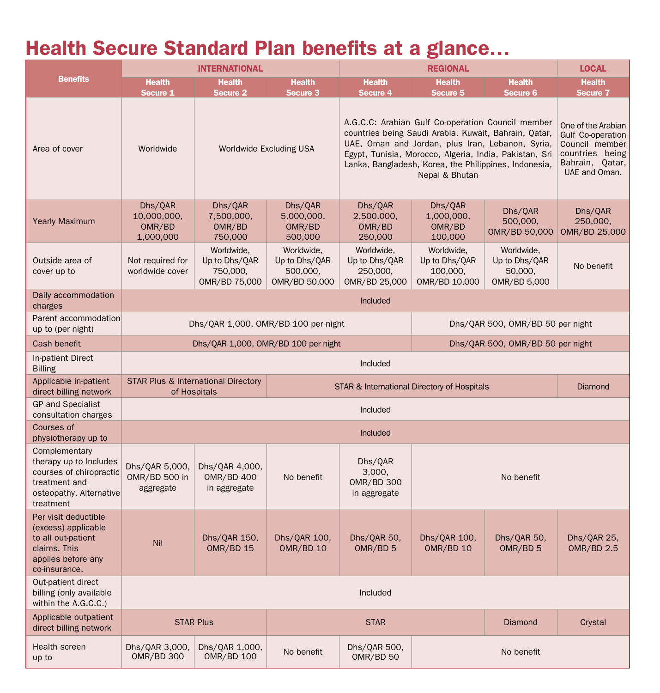# Health Secure Standard Plan benefits at a glance…

|                                                                                                                             |                                                                         | <b>INTERNATIONAL</b>                                           |                                                          |                                                                                                                                                                                                                                                                                                                                                | <b>LOCAL</b>                                             |                                                        |                                                                                                                         |  |  |
|-----------------------------------------------------------------------------------------------------------------------------|-------------------------------------------------------------------------|----------------------------------------------------------------|----------------------------------------------------------|------------------------------------------------------------------------------------------------------------------------------------------------------------------------------------------------------------------------------------------------------------------------------------------------------------------------------------------------|----------------------------------------------------------|--------------------------------------------------------|-------------------------------------------------------------------------------------------------------------------------|--|--|
| <b>Benefits</b>                                                                                                             | <b>Health</b><br>Secure 1                                               | <b>Health</b><br><b>Secure 2</b>                               | <b>Health</b><br>Secure 3                                | <b>Health</b>                                                                                                                                                                                                                                                                                                                                  | <b>Health</b>                                            | <b>Health</b>                                          | <b>Health</b><br>Secure <sub>7</sub>                                                                                    |  |  |
| Area of cover                                                                                                               | Worldwide                                                               | Worldwide Excluding USA                                        |                                                          | Secure 4<br><b>Secure 5</b><br>Secure 6<br>A.G.C.C: Arabian Gulf Co-operation Council member<br>countries being Saudi Arabia, Kuwait, Bahrain, Qatar,<br>UAE, Oman and Jordan, plus Iran, Lebanon, Syria,<br>Egypt, Tunisia, Morocco, Algeria, India, Pakistan, Sri<br>Lanka, Bangladesh, Korea, the Philippines, Indonesia,<br>Nepal & Bhutan |                                                          |                                                        | One of the Arabian<br><b>Gulf Co-operation</b><br>Council member<br>countries being<br>Bahrain, Qatar,<br>UAE and Oman. |  |  |
| <b>Yearly Maximum</b>                                                                                                       | Dhs/QAR<br>10,000,000,<br>OMR/BD<br>1.000.000                           | Dhs/QAR<br>7,500,000,<br>OMR/BD<br>750,000                     | Dhs/QAR<br>5,000,000,<br>OMR/BD<br>500,000               | Dhs/QAR<br>2,500,000,<br>OMR/BD<br>250,000                                                                                                                                                                                                                                                                                                     | Dhs/QAR<br>1,000,000,<br>OMR/BD<br>100,000               | Dhs/QAR<br>500,000,<br>OMR/BD 50,000                   | Dhs/QAR<br>250,000,<br>OMR/BD 25,000                                                                                    |  |  |
| Outside area of<br>cover up to                                                                                              | Not required for<br>worldwide cover                                     | Worldwide,<br>Up to Dhs/QAR<br>750,000,<br>OMR/BD 75,000       | Worldwide,<br>Up to Dhs/QAR<br>500.000.<br>OMR/BD 50,000 | Worldwide,<br>Up to Dhs/QAR<br>250,000,<br>OMR/BD 25,000                                                                                                                                                                                                                                                                                       | Worldwide,<br>Up to Dhs/QAR<br>100,000,<br>OMR/BD 10,000 | Worldwide,<br>Up to Dhs/QAR<br>50,000,<br>OMR/BD 5,000 | No benefit                                                                                                              |  |  |
| Daily accommodation<br>charges                                                                                              | Included                                                                |                                                                |                                                          |                                                                                                                                                                                                                                                                                                                                                |                                                          |                                                        |                                                                                                                         |  |  |
| Parent accommodation<br>up to (per night)                                                                                   | Dhs/QAR 1,000, OMR/BD 100 per night                                     |                                                                |                                                          |                                                                                                                                                                                                                                                                                                                                                |                                                          | Dhs/QAR 500, OMR/BD 50 per night                       |                                                                                                                         |  |  |
| Cash benefit                                                                                                                | Dhs/QAR 1,000, OMR/BD 100 per night<br>Dhs/QAR 500, OMR/BD 50 per night |                                                                |                                                          |                                                                                                                                                                                                                                                                                                                                                |                                                          |                                                        |                                                                                                                         |  |  |
| In-patient Direct<br><b>Billing</b>                                                                                         | Included                                                                |                                                                |                                                          |                                                                                                                                                                                                                                                                                                                                                |                                                          |                                                        |                                                                                                                         |  |  |
| Applicable in-patient<br>direct billing network                                                                             |                                                                         | <b>STAR Plus &amp; International Directory</b><br>of Hospitals |                                                          | STAR & International Directory of Hospitals                                                                                                                                                                                                                                                                                                    |                                                          |                                                        | Diamond                                                                                                                 |  |  |
| <b>GP and Specialist</b><br>consultation charges                                                                            | Included                                                                |                                                                |                                                          |                                                                                                                                                                                                                                                                                                                                                |                                                          |                                                        |                                                                                                                         |  |  |
| Courses of<br>physiotherapy up to                                                                                           | <b>Included</b>                                                         |                                                                |                                                          |                                                                                                                                                                                                                                                                                                                                                |                                                          |                                                        |                                                                                                                         |  |  |
| Complementary<br>therapy up to Includes<br>courses of chiropractic<br>treatment and<br>osteopathy. Alternative<br>treatment | Dhs/QAR 5,000,<br>OMR/BD 500 in<br>aggregate                            | Dhs/QAR 4,000,<br><b>OMR/BD 400</b><br>in aggregate            | No benefit                                               | Dhs/QAR<br>3,000,<br><b>OMR/BD 300</b><br>in aggregate                                                                                                                                                                                                                                                                                         | No benefit                                               |                                                        |                                                                                                                         |  |  |
| Per visit deductible<br>(excess) applicable<br>to all out-patient<br>claims. This<br>applies before any<br>co-insurance.    | Nil                                                                     | Dhs/QAR 150,<br>OMR/BD 15                                      | Dhs/QAR 100,<br>OMR/BD 10                                | Dhs/QAR 50,<br>OMR/BD 5                                                                                                                                                                                                                                                                                                                        | Dhs/QAR 100,<br>OMR/BD 10                                | Dhs/QAR 50,<br>OMR/BD 5                                | Dhs/QAR 25,<br><b>OMR/BD 2.5</b>                                                                                        |  |  |
| Out-patient direct<br>billing (only available<br>within the A.G.C.C.)                                                       | Included                                                                |                                                                |                                                          |                                                                                                                                                                                                                                                                                                                                                |                                                          |                                                        |                                                                                                                         |  |  |
| Applicable outpatient<br>direct billing network                                                                             | <b>STAR Plus</b>                                                        |                                                                |                                                          | <b>STAR</b><br><b>Diamond</b>                                                                                                                                                                                                                                                                                                                  |                                                          |                                                        | Crystal                                                                                                                 |  |  |
| Health screen<br>up to                                                                                                      | Dhs/QAR 3,000,<br><b>OMR/BD 300</b>                                     | Dhs/QAR 1,000,<br><b>OMR/BD 100</b>                            | No benefit                                               | Dhs/QAR 500,<br>OMR/BD 50                                                                                                                                                                                                                                                                                                                      | No benefit                                               |                                                        |                                                                                                                         |  |  |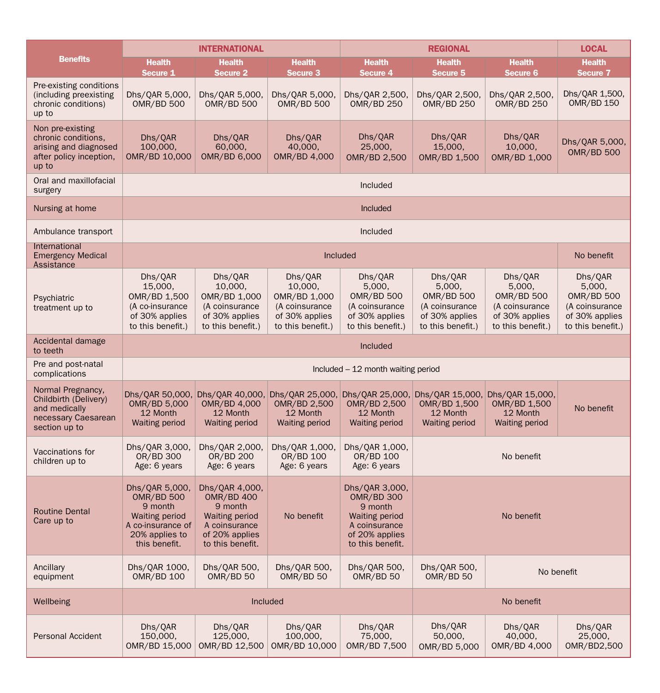| <b>Benefits</b>                                                                                      | <b>INTERNATIONAL</b>                                                                                                            |                                                                                                                                                      |                                                                                             | <b>REGIONAL</b>                                                                                                                |                                                                                                 |                                                                                                 | <b>LOCAL</b>                                                                                    |  |
|------------------------------------------------------------------------------------------------------|---------------------------------------------------------------------------------------------------------------------------------|------------------------------------------------------------------------------------------------------------------------------------------------------|---------------------------------------------------------------------------------------------|--------------------------------------------------------------------------------------------------------------------------------|-------------------------------------------------------------------------------------------------|-------------------------------------------------------------------------------------------------|-------------------------------------------------------------------------------------------------|--|
|                                                                                                      | <b>Health</b><br>Secure 1                                                                                                       | <b>Health</b><br><b>Secure 2</b>                                                                                                                     | <b>Health</b><br>Secure 3                                                                   | <b>Health</b><br><b>Secure 4</b>                                                                                               | <b>Health</b><br><b>Secure 5</b>                                                                | <b>Health</b><br>Secure 6                                                                       | <b>Health</b><br>Secure <sub>7</sub>                                                            |  |
| Pre-existing conditions<br>(including preexisting<br>chronic conditions)<br>up to                    | Dhs/QAR 5,000,<br><b>OMR/BD 500</b>                                                                                             | Dhs/QAR 5,000,<br><b>OMR/BD 500</b>                                                                                                                  | Dhs/QAR 5,000,<br><b>OMR/BD 500</b>                                                         | Dhs/QAR 2,500,<br><b>OMR/BD 250</b>                                                                                            | Dhs/QAR 2,500,<br><b>OMR/BD 250</b>                                                             | Dhs/QAR 2,500,<br><b>OMR/BD 250</b>                                                             | Dhs/QAR 1,500,<br><b>OMR/BD 150</b>                                                             |  |
| Non pre-existing<br>chronic conditions.<br>arising and diagnosed<br>after policy inception,<br>up to | Dhs/QAR<br>100,000,<br>OMR/BD 10,000                                                                                            | Dhs/QAR<br>60,000.<br>OMR/BD 6,000                                                                                                                   | Dhs/QAR<br>40,000.<br>OMR/BD 4,000                                                          | Dhs/QAR<br>25,000,<br>OMR/BD 2,500                                                                                             | Dhs/QAR<br>15,000,<br>OMR/BD 1,500                                                              | Dhs/QAR<br>10,000,<br>OMR/BD 1,000                                                              | Dhs/QAR 5,000,<br><b>OMR/BD 500</b>                                                             |  |
| Oral and maxillofacial<br>surgery                                                                    |                                                                                                                                 |                                                                                                                                                      |                                                                                             | Included                                                                                                                       |                                                                                                 |                                                                                                 |                                                                                                 |  |
| Nursing at home                                                                                      |                                                                                                                                 |                                                                                                                                                      |                                                                                             | Included                                                                                                                       |                                                                                                 |                                                                                                 |                                                                                                 |  |
| Ambulance transport                                                                                  |                                                                                                                                 |                                                                                                                                                      |                                                                                             | Included                                                                                                                       |                                                                                                 |                                                                                                 |                                                                                                 |  |
| International<br><b>Emergency Medical</b><br>Assistance                                              |                                                                                                                                 |                                                                                                                                                      |                                                                                             | Included                                                                                                                       |                                                                                                 |                                                                                                 | No benefit                                                                                      |  |
| Psychiatric<br>treatment up to                                                                       | Dhs/QAR<br>15,000,<br>OMR/BD 1,500<br>(A co-insurance<br>of 30% applies<br>to this benefit.)                                    | Dhs/QAR<br>10,000,<br>OMR/BD 1,000<br>(A coinsurance<br>of 30% applies<br>to this benefit.)                                                          | Dhs/QAR<br>10,000,<br>OMR/BD 1,000<br>(A coinsurance<br>of 30% applies<br>to this benefit.) | Dhs/QAR<br>5,000,<br><b>OMR/BD 500</b><br>(A coinsurance<br>of 30% applies<br>to this benefit.)                                | Dhs/QAR<br>5,000,<br><b>OMR/BD 500</b><br>(A coinsurance<br>of 30% applies<br>to this benefit.) | Dhs/QAR<br>5,000,<br><b>OMR/BD 500</b><br>(A coinsurance<br>of 30% applies<br>to this benefit.) | Dhs/QAR<br>5,000,<br><b>OMR/BD 500</b><br>(A coinsurance<br>of 30% applies<br>to this benefit.) |  |
| Accidental damage<br>to teeth                                                                        | Included                                                                                                                        |                                                                                                                                                      |                                                                                             |                                                                                                                                |                                                                                                 |                                                                                                 |                                                                                                 |  |
| Pre and post-natal<br>complications                                                                  |                                                                                                                                 |                                                                                                                                                      |                                                                                             | Included $-12$ month waiting period                                                                                            |                                                                                                 |                                                                                                 |                                                                                                 |  |
| Normal Pregnancy,<br>Childbirth (Delivery)<br>and medically<br>necessary Caesarean<br>section up to  | OMR/BD 5,000<br>12 Month<br><b>Waiting period</b>                                                                               | Dhs/QAR 50,000, Dhs/QAR 40,000, Dhs/QAR 25,000, Dhs/QAR 25,000, Dhs/QAR 15,000, Dhs/QAR 15,000,<br>OMR/BD 4,000<br>12 Month<br><b>Waiting period</b> | OMR/BD 2,500<br>12 Month<br><b>Waiting period</b>                                           | OMR/BD 2,500<br>12 Month<br><b>Waiting period</b>                                                                              | OMR/BD 1,500<br>12 Month<br><b>Waiting period</b>                                               | OMR/BD 1,500<br>12 Month<br><b>Waiting period</b>                                               | No benefit                                                                                      |  |
| Vaccinations for<br>children up to                                                                   | Dhs/QAR 3,000,<br>OR/BD 300<br>Age: 6 years                                                                                     | Dhs/QAR 2,000,<br>OR/BD 200<br>Age: 6 years                                                                                                          | Dhs/QAR 1,000,<br>OR/BD 100<br>Age: 6 years                                                 | Dhs/QAR 1,000,<br>OR/BD 100<br>Age: 6 years                                                                                    | No benefit                                                                                      |                                                                                                 |                                                                                                 |  |
| <b>Routine Dental</b><br>Care up to                                                                  | Dhs/QAR 5,000,<br><b>OMR/BD 500</b><br>9 month<br><b>Waiting period</b><br>A co-insurance of<br>20% applies to<br>this benefit. | Dhs/QAR 4,000,<br><b>OMR/BD 400</b><br>9 month<br><b>Waiting period</b><br>A coinsurance<br>of 20% applies<br>to this benefit.                       | No benefit                                                                                  | Dhs/QAR 3,000,<br><b>OMR/BD 300</b><br>9 month<br><b>Waiting period</b><br>A coinsurance<br>of 20% applies<br>to this benefit. | No benefit                                                                                      |                                                                                                 |                                                                                                 |  |
| Ancillary<br>equipment                                                                               | Dhs/QAR 1000,<br><b>OMR/BD 100</b>                                                                                              | Dhs/QAR 500,<br>OMR/BD 50                                                                                                                            | Dhs/QAR 500,<br>OMR/BD 50                                                                   | Dhs/QAR 500,<br>OMR/BD 50                                                                                                      | Dhs/QAR 500,<br>No benefit<br>OMR/BD 50                                                         |                                                                                                 |                                                                                                 |  |
| Wellbeing                                                                                            | Included                                                                                                                        |                                                                                                                                                      |                                                                                             |                                                                                                                                | No benefit                                                                                      |                                                                                                 |                                                                                                 |  |
| <b>Personal Accident</b>                                                                             | Dhs/QAR<br>150,000,<br>OMR/BD 15,000                                                                                            | Dhs/QAR<br>125,000,<br>OMR/BD 12,500                                                                                                                 | Dhs/QAR<br>100.000.<br>OMR/BD 10,000                                                        | Dhs/QAR<br>75,000,<br>OMR/BD 7,500                                                                                             | Dhs/QAR<br>50,000,<br>OMR/BD 5,000                                                              | Dhs/QAR<br>40,000.<br>OMR/BD 4,000                                                              | Dhs/QAR<br>25,000.<br>OMR/BD2,500                                                               |  |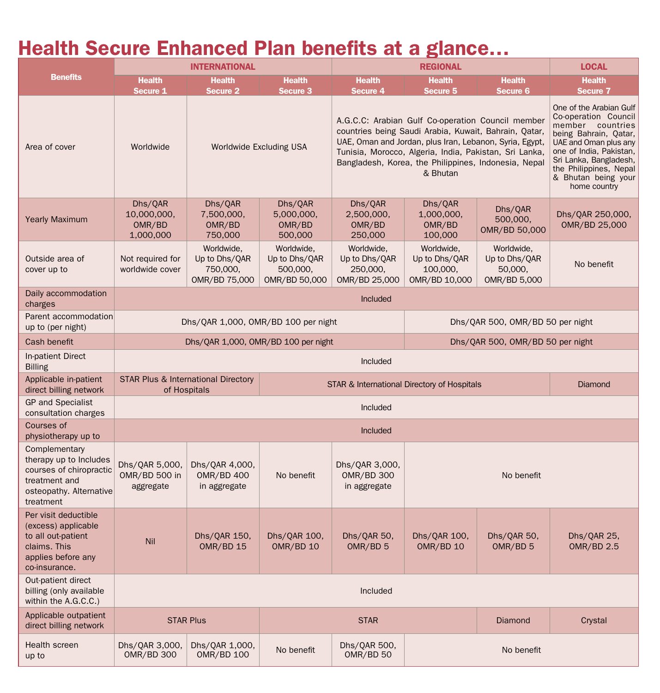# Health Secure Enhanced Plan benefits at a glance…

| <b>Benefits</b>                                                                                                             | <b>INTERNATIONAL</b>                                                                                          |                                                                    |                                                          | <b>REGIONAL</b>                                          |                                                                                                                                                                                                                                                                                                                                                       |                                                        | <b>LOCAL</b>                         |  |  |
|-----------------------------------------------------------------------------------------------------------------------------|---------------------------------------------------------------------------------------------------------------|--------------------------------------------------------------------|----------------------------------------------------------|----------------------------------------------------------|-------------------------------------------------------------------------------------------------------------------------------------------------------------------------------------------------------------------------------------------------------------------------------------------------------------------------------------------------------|--------------------------------------------------------|--------------------------------------|--|--|
|                                                                                                                             | <b>Health</b>                                                                                                 | <b>Health</b>                                                      | <b>Health</b>                                            | <b>Health</b>                                            | <b>Health</b>                                                                                                                                                                                                                                                                                                                                         | <b>Health</b>                                          | <b>Health</b><br>Secure <sub>7</sub> |  |  |
| Area of cover                                                                                                               | Worldwide                                                                                                     | Secure 1<br><b>Secure 2</b><br>Secure 3<br>Worldwide Excluding USA |                                                          |                                                          | Secure 4<br><b>Secure 5</b><br><b>Secure 6</b><br>A.G.C.C: Arabian Gulf Co-operation Council member<br>countries being Saudi Arabia, Kuwait, Bahrain, Qatar,<br>UAE, Oman and Jordan, plus Iran, Lebanon, Syria, Egypt,<br>Tunisia, Morocco, Algeria, India, Pakistan, Sri Lanka,<br>Bangladesh, Korea, the Philippines, Indonesia, Nepal<br>& Bhutan |                                                        |                                      |  |  |
| <b>Yearly Maximum</b>                                                                                                       | Dhs/QAR<br>10,000,000,<br>OMR/BD<br>1,000,000                                                                 | Dhs/QAR<br>7,500,000,<br>OMR/BD<br>750,000                         | Dhs/QAR<br>5,000,000,<br>OMR/BD<br>500,000               | Dhs/QAR<br>2,500,000,<br>OMR/BD<br>250,000               | Dhs/QAR<br>1,000,000,<br>OMR/BD<br>100,000                                                                                                                                                                                                                                                                                                            | Dhs/QAR<br>500,000,<br>OMR/BD 50,000                   | Dhs/QAR 250,000,<br>OMR/BD 25,000    |  |  |
| Outside area of<br>cover up to                                                                                              | Not required for<br>worldwide cover                                                                           | Worldwide,<br>Up to Dhs/QAR<br>750,000,<br>OMR/BD 75,000           | Worldwide,<br>Up to Dhs/QAR<br>500,000,<br>OMR/BD 50,000 | Worldwide,<br>Up to Dhs/QAR<br>250,000,<br>OMR/BD 25,000 | Worldwide,<br>Up to Dhs/QAR<br>100,000,<br>OMR/BD 10,000                                                                                                                                                                                                                                                                                              | Worldwide.<br>Up to Dhs/QAR<br>50,000.<br>OMR/BD 5,000 | No benefit                           |  |  |
| Daily accommodation<br>charges                                                                                              | Included                                                                                                      |                                                                    |                                                          |                                                          |                                                                                                                                                                                                                                                                                                                                                       |                                                        |                                      |  |  |
| Parent accommodation<br>up to (per night)                                                                                   | Dhs/QAR 1,000, OMR/BD 100 per night<br>Dhs/QAR 500, OMR/BD 50 per night                                       |                                                                    |                                                          |                                                          |                                                                                                                                                                                                                                                                                                                                                       |                                                        |                                      |  |  |
| Cash benefit                                                                                                                | Dhs/QAR 1,000, OMR/BD 100 per night<br>Dhs/QAR 500, OMR/BD 50 per night                                       |                                                                    |                                                          |                                                          |                                                                                                                                                                                                                                                                                                                                                       |                                                        |                                      |  |  |
| In-patient Direct<br><b>Billing</b>                                                                                         | Included                                                                                                      |                                                                    |                                                          |                                                          |                                                                                                                                                                                                                                                                                                                                                       |                                                        |                                      |  |  |
| Applicable in-patient<br>direct billing network                                                                             | <b>STAR Plus &amp; International Directory</b><br>STAR & International Directory of Hospitals<br>of Hospitals |                                                                    |                                                          |                                                          |                                                                                                                                                                                                                                                                                                                                                       |                                                        | Diamond                              |  |  |
| <b>GP</b> and Specialist<br>consultation charges                                                                            | Included                                                                                                      |                                                                    |                                                          |                                                          |                                                                                                                                                                                                                                                                                                                                                       |                                                        |                                      |  |  |
| Courses of<br>physiotherapy up to                                                                                           | Included                                                                                                      |                                                                    |                                                          |                                                          |                                                                                                                                                                                                                                                                                                                                                       |                                                        |                                      |  |  |
| Complementary<br>therapy up to Includes<br>courses of chiropractic<br>treatment and<br>osteopathy. Alternative<br>treatment | Dhs/QAR 5,000,<br>OMR/BD 500 in<br>aggregate                                                                  | Dhs/QAR 4,000,<br><b>OMR/BD 400</b><br>in aggregate                | No benefit                                               | Dhs/QAR 3,000,<br><b>OMR/BD 300</b><br>in aggregate      | No benefit                                                                                                                                                                                                                                                                                                                                            |                                                        |                                      |  |  |
| Per visit deductible<br>(excess) applicable<br>to all out-patient<br>claims. This<br>applies before any<br>co-insurance.    | Nil                                                                                                           | Dhs/QAR 150,<br>OMR/BD 15                                          | Dhs/QAR 100,<br>OMR/BD 10                                | Dhs/QAR 50.<br>OMR/BD <sub>5</sub>                       | Dhs/QAR 100.<br>OMR/BD 10                                                                                                                                                                                                                                                                                                                             | Dhs/QAR 50,<br>OMR/BD <sub>5</sub>                     | Dhs/QAR 25,<br><b>OMR/BD 2.5</b>     |  |  |
| Out-patient direct<br>billing (only available<br>within the A.G.C.C.)                                                       | Included                                                                                                      |                                                                    |                                                          |                                                          |                                                                                                                                                                                                                                                                                                                                                       |                                                        |                                      |  |  |
| Applicable outpatient<br>direct billing network                                                                             | <b>STAR Plus</b>                                                                                              |                                                                    |                                                          | <b>STAR</b>                                              |                                                                                                                                                                                                                                                                                                                                                       | Diamond                                                | Crystal                              |  |  |
| Health screen<br>up to                                                                                                      | Dhs/QAR 3,000,<br><b>OMR/BD 300</b>                                                                           | Dhs/QAR 1,000,<br><b>OMR/BD 100</b>                                | No benefit                                               | Dhs/QAR 500,<br>OMR/BD 50                                | No benefit                                                                                                                                                                                                                                                                                                                                            |                                                        |                                      |  |  |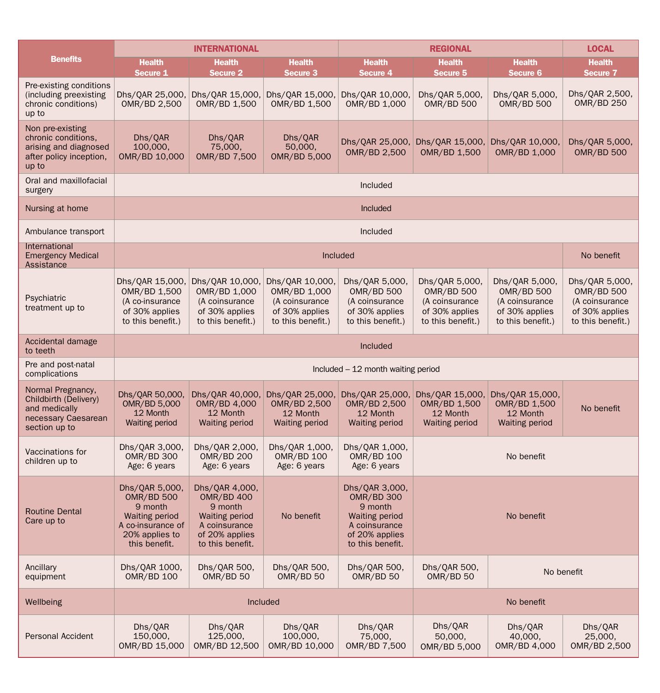|                                                                                                      | <b>INTERNATIONAL</b>                                                                                                            |                                                                                                                                |                                                                                          | <b>REGIONAL</b>                                                                                                                |                                                                                              |                                                                                              | <b>LOCAL</b>                                                                                 |  |
|------------------------------------------------------------------------------------------------------|---------------------------------------------------------------------------------------------------------------------------------|--------------------------------------------------------------------------------------------------------------------------------|------------------------------------------------------------------------------------------|--------------------------------------------------------------------------------------------------------------------------------|----------------------------------------------------------------------------------------------|----------------------------------------------------------------------------------------------|----------------------------------------------------------------------------------------------|--|
| <b>Benefits</b>                                                                                      | <b>Health</b><br>Secure 1                                                                                                       | <b>Health</b><br>Secure <sub>2</sub>                                                                                           | <b>Health</b><br><b>Secure 3</b>                                                         | <b>Health</b><br><b>Secure 4</b>                                                                                               | <b>Health</b><br><b>Secure 5</b>                                                             | <b>Health</b><br><b>Secure 6</b>                                                             | <b>Health</b><br><b>Secure 7</b>                                                             |  |
| Pre-existing conditions<br>(including preexisting<br>chronic conditions)<br>up to                    | Dhs/QAR 25,000,<br>OMR/BD 2,500                                                                                                 | Dhs/QAR 15,000,<br>OMR/BD 1,500                                                                                                | Dhs/QAR 15,000,<br>OMR/BD 1,500                                                          | Dhs/QAR 10,000,<br>OMR/BD 1,000                                                                                                | Dhs/QAR 5,000,<br><b>OMR/BD 500</b>                                                          | Dhs/QAR 5,000,<br><b>OMR/BD 500</b>                                                          | Dhs/QAR 2,500,<br><b>OMR/BD 250</b>                                                          |  |
| Non pre-existing<br>chronic conditions.<br>arising and diagnosed<br>after policy inception,<br>up to | Dhs/QAR<br>100,000,<br>OMR/BD 10,000                                                                                            | Dhs/QAR<br>75,000,<br>OMR/BD 7,500                                                                                             | Dhs/QAR<br>50,000,<br>OMR/BD 5,000                                                       | OMR/BD 2,500                                                                                                                   | Dhs/QAR 25,000, Dhs/QAR 15,000,<br>OMR/BD 1,500                                              | Dhs/QAR 10,000,<br>OMR/BD 1,000                                                              | Dhs/QAR 5,000,<br><b>OMR/BD 500</b>                                                          |  |
| Oral and maxillofacial<br>surgery                                                                    |                                                                                                                                 |                                                                                                                                |                                                                                          | Included                                                                                                                       |                                                                                              |                                                                                              |                                                                                              |  |
| Nursing at home                                                                                      |                                                                                                                                 |                                                                                                                                |                                                                                          | Included                                                                                                                       |                                                                                              |                                                                                              |                                                                                              |  |
| Ambulance transport                                                                                  |                                                                                                                                 |                                                                                                                                |                                                                                          | Included                                                                                                                       |                                                                                              |                                                                                              |                                                                                              |  |
| International<br><b>Emergency Medical</b><br>Assistance                                              |                                                                                                                                 |                                                                                                                                |                                                                                          | Included                                                                                                                       |                                                                                              |                                                                                              | No benefit                                                                                   |  |
| Psychiatric<br>treatment up to                                                                       | Dhs/QAR 15,000,<br>OMR/BD 1,500<br>(A co-insurance<br>of 30% applies<br>to this benefit.)                                       | Dhs/QAR 10,000,<br>OMR/BD 1,000<br>(A coinsurance<br>of 30% applies<br>to this benefit.)                                       | Dhs/QAR 10,000,<br>OMR/BD 1,000<br>(A coinsurance<br>of 30% applies<br>to this benefit.) | Dhs/QAR 5,000,<br><b>OMR/BD 500</b><br>(A coinsurance<br>of 30% applies<br>to this benefit.)                                   | Dhs/QAR 5,000,<br><b>OMR/BD 500</b><br>(A coinsurance<br>of 30% applies<br>to this benefit.) | Dhs/QAR 5,000,<br><b>OMR/BD 500</b><br>(A coinsurance<br>of 30% applies<br>to this benefit.) | Dhs/QAR 5,000,<br><b>OMR/BD 500</b><br>(A coinsurance<br>of 30% applies<br>to this benefit.) |  |
| Accidental damage<br>to teeth                                                                        | Included                                                                                                                        |                                                                                                                                |                                                                                          |                                                                                                                                |                                                                                              |                                                                                              |                                                                                              |  |
| Pre and post-natal<br>complications                                                                  | Included $-12$ month waiting period                                                                                             |                                                                                                                                |                                                                                          |                                                                                                                                |                                                                                              |                                                                                              |                                                                                              |  |
| Normal Pregnancy,<br>Childbirth (Delivery)<br>and medically<br>necessary Caesarean<br>section up to  | Dhs/QAR 50,000,<br>OMR/BD 5,000<br>12 Month<br><b>Waiting period</b>                                                            | Dhs/QAR 40,000,<br>OMR/BD 4,000<br>12 Month<br><b>Waiting period</b>                                                           | Dhs/QAR 25,000,<br>OMR/BD 2,500<br>12 Month<br><b>Waiting period</b>                     | Dhs/QAR 25,000,<br>OMR/BD 2,500<br>12 Month<br><b>Waiting period</b>                                                           | Dhs/QAR 15,000,<br>OMR/BD 1,500<br>12 Month<br><b>Waiting period</b>                         | Dhs/QAR 15,000,<br>OMR/BD 1,500<br>12 Month<br><b>Waiting period</b>                         | No benefit                                                                                   |  |
| Vaccinations for<br>children up to                                                                   | Dhs/QAR 3,000,<br><b>OMR/BD 300</b><br>Age: 6 years                                                                             | Dhs/QAR 2,000,<br><b>OMR/BD 200</b><br>Age: 6 years                                                                            | Dhs/QAR 1,000,<br><b>OMR/BD 100</b><br>Age: 6 years                                      | Dhs/QAR 1,000,<br><b>OMR/BD 100</b><br>Age: 6 years                                                                            |                                                                                              |                                                                                              |                                                                                              |  |
| <b>Routine Dental</b><br>Care up to                                                                  | Dhs/QAR 5,000,<br><b>OMR/BD 500</b><br>9 month<br><b>Waiting period</b><br>A co-insurance of<br>20% applies to<br>this benefit. | Dhs/QAR 4,000,<br><b>OMR/BD 400</b><br>9 month<br><b>Waiting period</b><br>A coinsurance<br>of 20% applies<br>to this benefit. | No benefit                                                                               | Dhs/QAR 3,000,<br><b>OMR/BD 300</b><br>9 month<br><b>Waiting period</b><br>A coinsurance<br>of 20% applies<br>to this benefit. | No benefit                                                                                   |                                                                                              |                                                                                              |  |
| Ancillary<br>equipment                                                                               | Dhs/QAR 1000,<br><b>OMR/BD 100</b>                                                                                              | Dhs/QAR 500,<br>OMR/BD 50                                                                                                      | Dhs/QAR 500,<br>OMR/BD 50                                                                | Dhs/QAR 500,<br>OMR/BD 50                                                                                                      | Dhs/QAR 500,<br>No benefit<br>OMR/BD 50                                                      |                                                                                              |                                                                                              |  |
| Wellbeing                                                                                            | Included                                                                                                                        |                                                                                                                                |                                                                                          |                                                                                                                                | No benefit                                                                                   |                                                                                              |                                                                                              |  |
| <b>Personal Accident</b>                                                                             | Dhs/QAR<br>150,000,<br>OMR/BD 15,000                                                                                            | Dhs/QAR<br>125,000,<br>OMR/BD 12,500                                                                                           | Dhs/QAR<br>100,000,<br>OMR/BD 10,000                                                     | Dhs/QAR<br>75,000,<br>OMR/BD 7,500                                                                                             | Dhs/QAR<br>50,000,<br>OMR/BD 5,000                                                           | Dhs/QAR<br>40,000,<br>OMR/BD 4,000                                                           | Dhs/QAR<br>25,000,<br>OMR/BD 2,500                                                           |  |